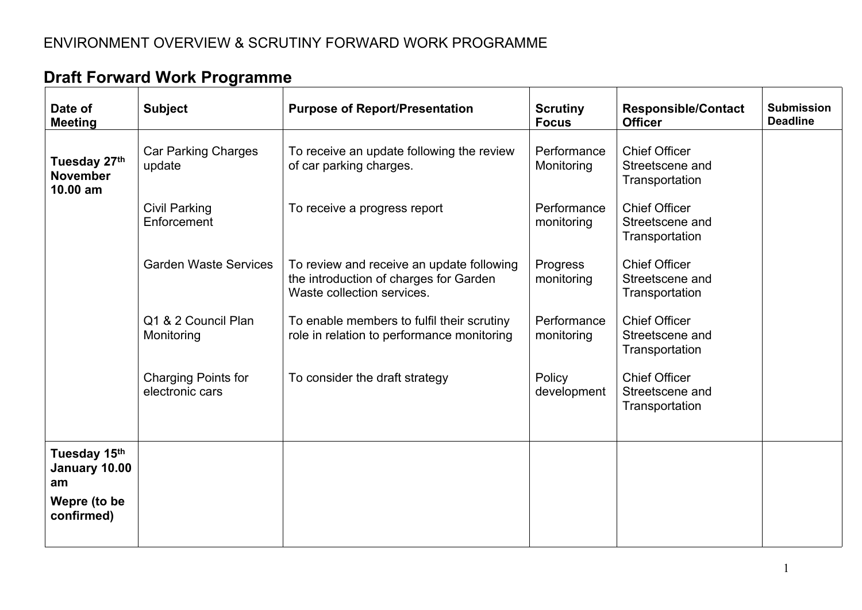## ENVIRONMENT OVERVIEW & SCRUTINY FORWARD WORK PROGRAMME

| Date of<br><b>Meeting</b>                                         | <b>Subject</b>                                | <b>Purpose of Report/Presentation</b>                                                                             | <b>Scrutiny</b><br><b>Focus</b> | <b>Responsible/Contact</b><br><b>Officer</b>              | <b>Submission</b><br><b>Deadline</b> |
|-------------------------------------------------------------------|-----------------------------------------------|-------------------------------------------------------------------------------------------------------------------|---------------------------------|-----------------------------------------------------------|--------------------------------------|
| Tuesday 27th<br><b>November</b><br>10.00 am                       | <b>Car Parking Charges</b><br>update          | To receive an update following the review<br>of car parking charges.                                              | Performance<br>Monitoring       | <b>Chief Officer</b><br>Streetscene and<br>Transportation |                                      |
|                                                                   | <b>Civil Parking</b><br>Enforcement           | To receive a progress report                                                                                      | Performance<br>monitoring       | <b>Chief Officer</b><br>Streetscene and<br>Transportation |                                      |
|                                                                   | <b>Garden Waste Services</b>                  | To review and receive an update following<br>the introduction of charges for Garden<br>Waste collection services. | Progress<br>monitoring          | <b>Chief Officer</b><br>Streetscene and<br>Transportation |                                      |
|                                                                   | Q1 & 2 Council Plan<br>Monitoring             | To enable members to fulfil their scrutiny<br>role in relation to performance monitoring                          | Performance<br>monitoring       | <b>Chief Officer</b><br>Streetscene and<br>Transportation |                                      |
|                                                                   | <b>Charging Points for</b><br>electronic cars | To consider the draft strategy                                                                                    | Policy<br>development           | <b>Chief Officer</b><br>Streetscene and<br>Transportation |                                      |
| Tuesday 15th<br>January 10.00<br>am<br>Wepre (to be<br>confirmed) |                                               |                                                                                                                   |                                 |                                                           |                                      |
|                                                                   |                                               |                                                                                                                   |                                 |                                                           |                                      |

## **Draft Forward Work Programme**